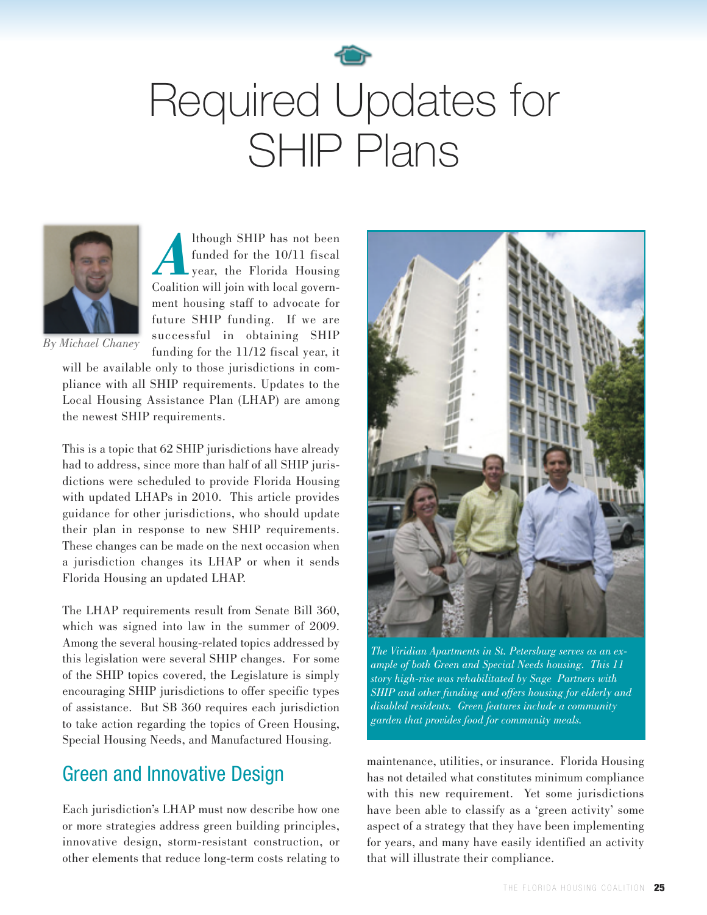

# Required Updates for SHIP Plans



Although SHIP has not been<br>funded for the 10/11 fiscal<br>year, the Florida Housing funded for the 10/11 fiscal Coalition will join with local government housing staff to advocate for future SHIP funding. If we are successful in obtaining SHIP funding for the 11/12 fiscal year, it

*By Michael Chaney*

will be available only to those jurisdictions in compliance with all SHIP requirements. Updates to the Local Housing Assistance Plan (LHAP) are among the newest SHIP requirements.

This is a topic that 62 SHIP jurisdictions have already had to address, since more than half of all SHIP jurisdictions were scheduled to provide Florida Housing with updated LHAPs in 2010. This article provides guidance for other jurisdictions, who should update their plan in response to new SHIP requirements. These changes can be made on the next occasion when a jurisdiction changes its LHAP or when it sends Florida Housing an updated LHAP.

The LHAP requirements result from Senate Bill 360, which was signed into law in the summer of 2009. Among the several housing-related topics addressed by this legislation were several SHIP changes. For some of the SHIP topics covered, the Legislature is simply encouraging SHIP jurisdictions to offer specific types of assistance. But SB 360 requires each jurisdiction to take action regarding the topics of Green Housing, Special Housing Needs, and Manufactured Housing.

# Green and Innovative Design

Each jurisdiction's LHAP must now describe how one or more strategies address green building principles, innovative design, storm-resistant construction, or other elements that reduce long-term costs relating to



*The Viridian Apartments in St. Petersburg serves as an example of both Green and Special Needs housing. This 11 story high-rise was rehabilitated by Sage Partners with SHIP and other funding and offers housing for elderly and disabled residents. Green features include a community garden that provides food for community meals.*

maintenance, utilities, or insurance. Florida Housing has not detailed what constitutes minimum compliance with this new requirement. Yet some jurisdictions have been able to classify as a 'green activity' some aspect of a strategy that they have been implementing for years, and many have easily identified an activity that will illustrate their compliance.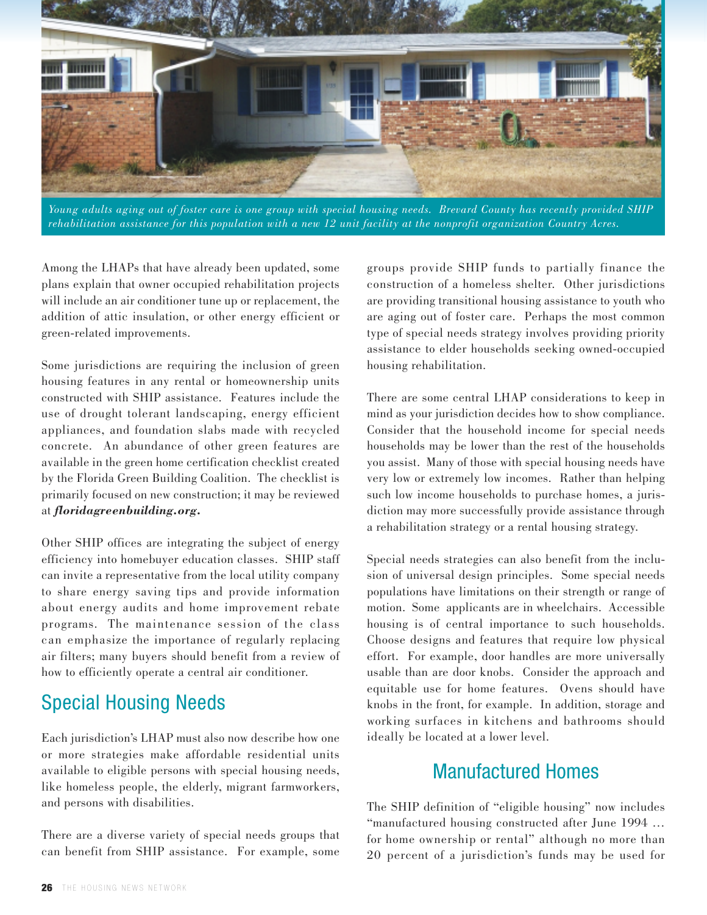

Young adults aging out of foster care is one group with special housing needs. Brevard County has recently provided SHIP rehabilitation assistance for this population with a new 12 unit facility at the nonprofit organization Country Acres.

Among the LHAPs that have already been updated, some plans explain that owner occupied rehabilitation projects will include an air conditioner tune up or replacement, the addition of attic insulation, or other energy efficient or green-related improvements.

Some jurisdictions are requiring the inclusion of green housing features in any rental or homeownership units constructed with SHIP assistance. Features include the use of drought tolerant landscaping, energy efficient appliances, and foundation slabs made with recycled concrete. An abundance of other green features are available in the green home certification checklist created by the Florida Green Building Coalition. The checklist is primarily focused on new construction; it may be reviewed at *floridagreenbuilding.org.*

Other SHIP offices are integrating the subject of energy efficiency into homebuyer education classes. SHIP staff can invite a representative from the local utility company to share energy saving tips and provide information about energy audits and home improvement rebate programs. The maintenance session of the class can emphasize the importance of regularly replacing air filters; many buyers should benefit from a review of how to efficiently operate a central air conditioner.

## Special Housing Needs

Each jurisdiction's LHAP must also now describe how one or more strategies make affordable residential units available to eligible persons with special housing needs, like homeless people, the elderly, migrant farmworkers, and persons with disabilities.

There are a diverse variety of special needs groups that can benefit from SHIP assistance. For example, some groups provide SHIP funds to partially finance the construction of a homeless shelter. Other jurisdictions are providing transitional housing assistance to youth who are aging out of foster care. Perhaps the most common type of special needs strategy involves providing priority assistance to elder households seeking owned-occupied housing rehabilitation.

There are some central LHAP considerations to keep in mind as your jurisdiction decides how to show compliance. Consider that the household income for special needs households may be lower than the rest of the households you assist. Many of those with special housing needs have very low or extremely low incomes. Rather than helping such low income households to purchase homes, a jurisdiction may more successfully provide assistance through a rehabilitation strategy or a rental housing strategy.

Special needs strategies can also benefit from the inclusion of universal design principles. Some special needs populations have limitations on their strength or range of motion. Some applicants are in wheelchairs. Accessible housing is of central importance to such households. Choose designs and features that require low physical effort. For example, door handles are more universally usable than are door knobs. Consider the approach and equitable use for home features. Ovens should have knobs in the front, for example. In addition, storage and working surfaces in kitchens and bathrooms should ideally be located at a lower level.

### Manufactured Homes

The SHIP definition of "eligible housing" now includes "manufactured housing constructed after June 1994 … for home ownership or rental" although no more than 20 percent of a jurisdiction's funds may be used for